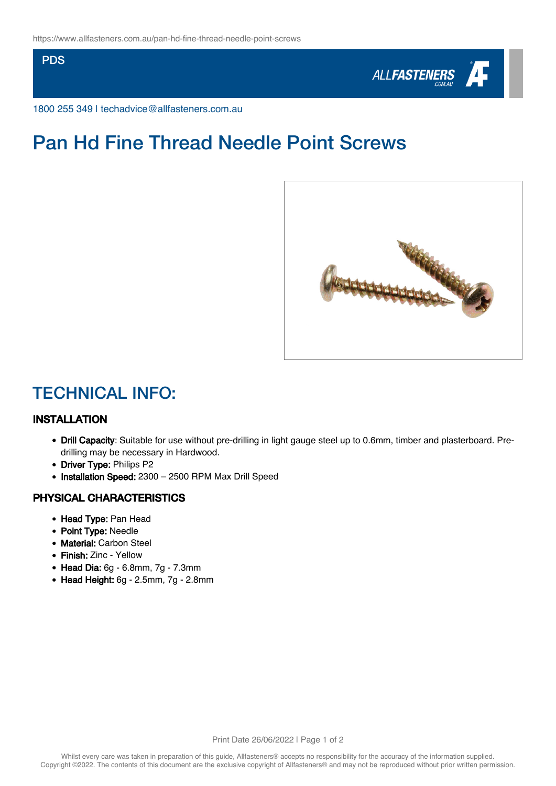PDS



1800 255 349 | techadvice@allfasteners.com.au

# Pan Hd Fine Thread Needle Point Screws



### TECHNICAL INFO:

### INSTALLATION

- Drill Capacity: Suitable for use without pre-drilling in light gauge steel up to 0.6mm, timber and plasterboard. Predrilling may be necessary in Hardwood.
- Driver Type: Philips P2
- Installation Speed: 2300 2500 RPM Max Drill Speed

#### PHYSICAL CHARACTERISTICS

- Head Type: Pan Head
- Point Type: Needle
- Material: Carbon Steel
- Finish: Zinc Yellow
- Head Dia: 6g 6.8mm, 7g 7.3mm
- Head Height: 6g 2.5mm, 7g 2.8mm